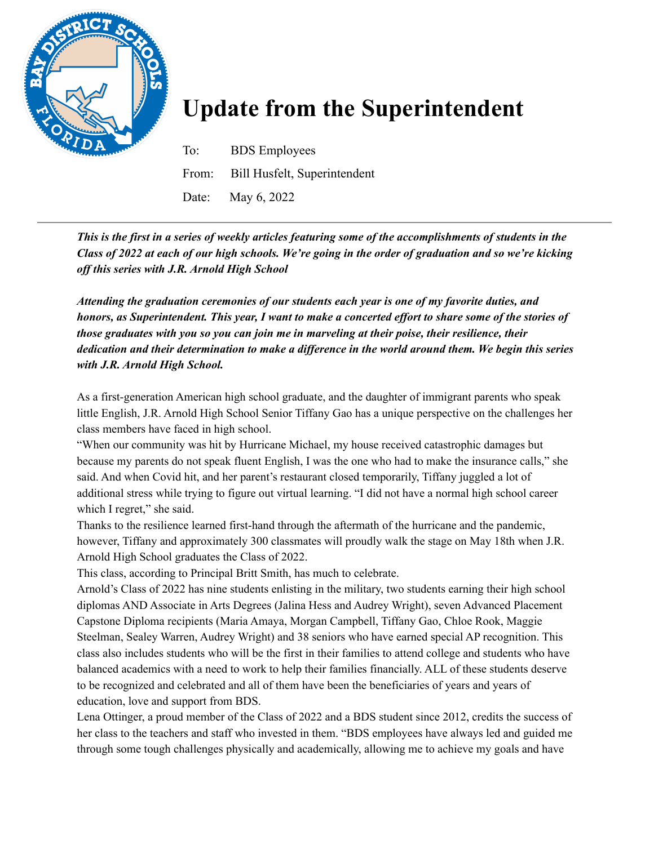

## **Update from the Superintendent**

To: BDS Employees From: Bill Husfelt, Superintendent Date: May 6, 2022

This is the first in a series of weekly articles featuring some of the accomplishments of students in the Class of 2022 at each of our high schools. We're going in the order of graduation and so we're kicking *of this series with J.R. Arnold High School*

*Attending the graduation ceremonies of our students each year is one of my favorite duties, and* honors, as Superintendent. This year, I want to make a concerted effort to share some of the stories of *those graduates with you so you can join me in marveling at their poise, their resilience, their* dedication and their determination to make a difference in the world around them. We begin this series *with J.R. Arnold High School.*

As a first-generation American high school graduate, and the daughter of immigrant parents who speak little English, J.R. Arnold High School Senior Tiffany Gao has a unique perspective on the challenges her class members have faced in high school.

"When our community was hit by Hurricane Michael, my house received catastrophic damages but because my parents do not speak fluent English, I was the one who had to make the insurance calls," she said. And when Covid hit, and her parent's restaurant closed temporarily, Tiffany juggled a lot of additional stress while trying to figure out virtual learning. "I did not have a normal high school career which I regret," she said.

Thanks to the resilience learned first-hand through the aftermath of the hurricane and the pandemic, however, Tiffany and approximately 300 classmates will proudly walk the stage on May 18th when J.R. Arnold High School graduates the Class of 2022.

This class, according to Principal Britt Smith, has much to celebrate.

Arnold's Class of 2022 has nine students enlisting in the military, two students earning their high school diplomas AND Associate in Arts Degrees (Jalina Hess and Audrey Wright), seven Advanced Placement Capstone Diploma recipients (Maria Amaya, Morgan Campbell, Tiffany Gao, Chloe Rook, Maggie Steelman, Sealey Warren, Audrey Wright) and 38 seniors who have earned special AP recognition. This class also includes students who will be the first in their families to attend college and students who have balanced academics with a need to work to help their families financially. ALL of these students deserve to be recognized and celebrated and all of them have been the beneficiaries of years and years of education, love and support from BDS.

Lena Ottinger, a proud member of the Class of 2022 and a BDS student since 2012, credits the success of her class to the teachers and staff who invested in them. "BDS employees have always led and guided me through some tough challenges physically and academically, allowing me to achieve my goals and have